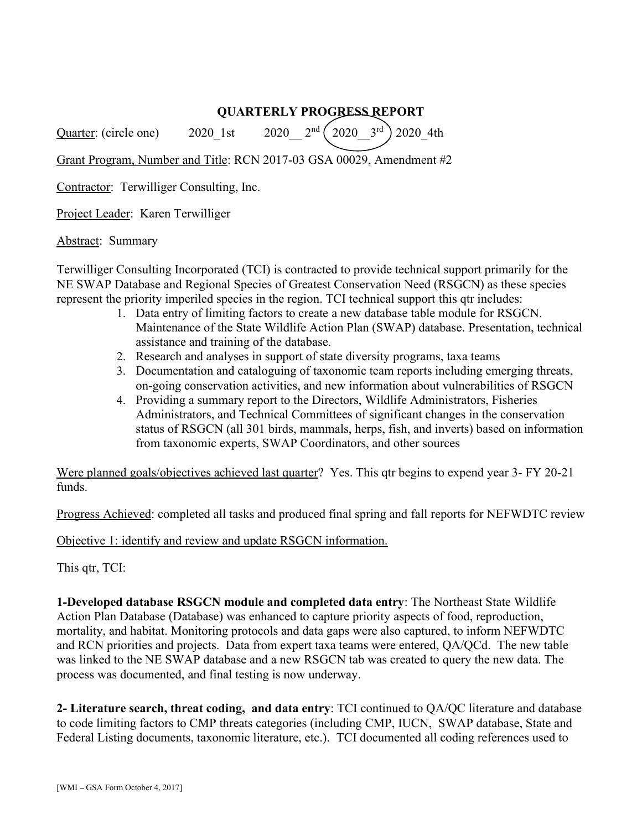## QUARTERLY PROGRESS REPORT

Quarter: (circle one) 2020 1st 2020  $2^{nd}$   $\binom{2020}{2020}$   $3^{rd}$  2020 4th

Grant Program, Number and Title: RCN 2017-03 GSA 00029, Amendment #2

Contractor: Terwilliger Consulting, Inc.

Project Leader: Karen Terwilliger

Abstract: Summary

Terwilliger Consulting Incorporated (TCI) is contracted to provide technical support primarily for the NE SWAP Database and Regional Species of Greatest Conservation Need (RSGCN) as these species represent the priority imperiled species in the region. TCI technical support this qtr includes:

- 1. Data entry of limiting factors to create a new database table module for RSGCN. Maintenance of the State Wildlife Action Plan (SWAP) database. Presentation, technical assistance and training of the database.
- 2. Research and analyses in support of state diversity programs, taxa teams
- 3. Documentation and cataloguing of taxonomic team reports including emerging threats, on-going conservation activities, and new information about vulnerabilities of RSGCN
- 4. Providing a summary report to the Directors, Wildlife Administrators, Fisheries Administrators, and Technical Committees of significant changes in the conservation status of RSGCN (all 301 birds, mammals, herps, fish, and inverts) based on information from taxonomic experts, SWAP Coordinators, and other sources

Were planned goals/objectives achieved last quarter? Yes. This qtr begins to expend year 3- FY 20-21 funds.

Progress Achieved: completed all tasks and produced final spring and fall reports for NEFWDTC review

Objective 1: identify and review and update RSGCN information.

This qtr, TCI:

1-Developed database RSGCN module and completed data entry: The Northeast State Wildlife Action Plan Database (Database) was enhanced to capture priority aspects of food, reproduction, mortality, and habitat. Monitoring protocols and data gaps were also captured, to inform NEFWDTC and RCN priorities and projects. Data from expert taxa teams were entered, QA/QCd. The new table was linked to the NE SWAP database and a new RSGCN tab was created to query the new data. The process was documented, and final testing is now underway.

2- Literature search, threat coding, and data entry: TCI continued to QA/QC literature and database to code limiting factors to CMP threats categories (including CMP, IUCN, SWAP database, State and Federal Listing documents, taxonomic literature, etc.). TCI documented all coding references used to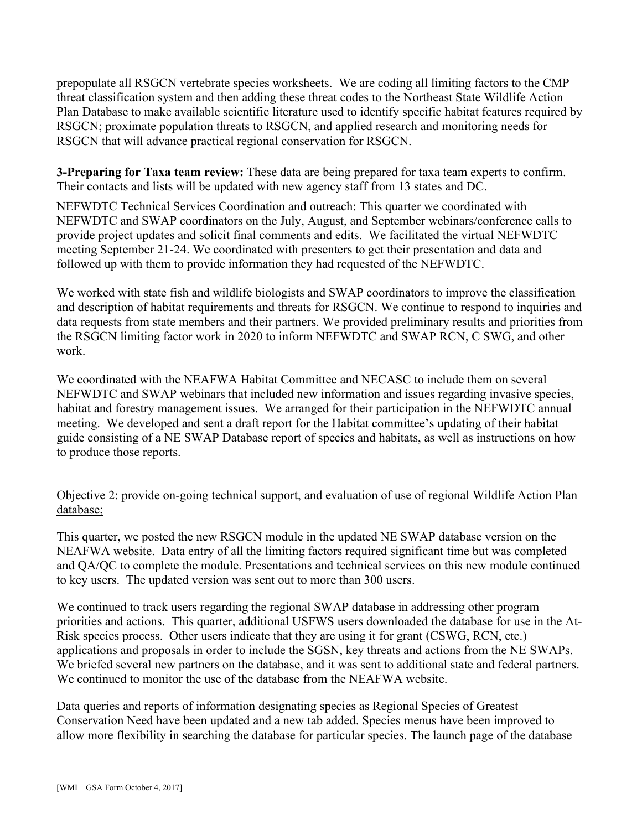prepopulate all RSGCN vertebrate species worksheets. We are coding all limiting factors to the CMP threat classification system and then adding these threat codes to the Northeast State Wildlife Action Plan Database to make available scientific literature used to identify specific habitat features required by RSGCN; proximate population threats to RSGCN, and applied research and monitoring needs for RSGCN that will advance practical regional conservation for RSGCN.

**3-Preparing for Taxa team review:** These data are being prepared for taxa team experts to confirm. Their contacts and lists will be updated with new agency staff from 13 states and DC.

NEFWDTC Technical Services Coordination and outreach: This quarter we coordinated with NEFWDTC and SWAP coordinators on the July, August, and September webinars/conference calls to provide project updates and solicit final comments and edits. We facilitated the virtual NEFWDTC meeting September 21-24. We coordinated with presenters to get their presentation and data and followed up with them to provide information they had requested of the NEFWDTC.

We worked with state fish and wildlife biologists and SWAP coordinators to improve the classification and description of habitat requirements and threats for RSGCN. We continue to respond to inquiries and data requests from state members and their partners. We provided preliminary results and priorities from the RSGCN limiting factor work in 2020 to inform NEFWDTC and SWAP RCN, C SWG, and other work.

We coordinated with the NEAFWA Habitat Committee and NECASC to include them on several NEFWDTC and SWAP webinars that included new information and issues regarding invasive species, habitat and forestry management issues. We arranged for their participation in the NEFWDTC annual meeting. We developed and sent a draft report for the Habitat committee's updating of their habitat guide consisting of a NE SWAP Database report of species and habitats, as well as instructions on how to produce those reports.

## Objective 2: provide on-going technical support, and evaluation of use of regional Wildlife Action Plan database;

This quarter, we posted the new RSGCN module in the updated NE SWAP database version on the NEAFWA website. Data entry of all the limiting factors required significant time but was completed and QA/QC to complete the module. Presentations and technical services on this new module continued to key users. The updated version was sent out to more than 300 users.

We continued to track users regarding the regional SWAP database in addressing other program priorities and actions. This quarter, additional USFWS users downloaded the database for use in the At-Risk species process. Other users indicate that they are using it for grant (CSWG, RCN, etc.) applications and proposals in order to include the SGSN, key threats and actions from the NE SWAPs. We briefed several new partners on the database, and it was sent to additional state and federal partners. We continued to monitor the use of the database from the NEAFWA website.

Data queries and reports of information designating species as Regional Species of Greatest Conservation Need have been updated and a new tab added. Species menus have been improved to allow more flexibility in searching the database for particular species. The launch page of the database